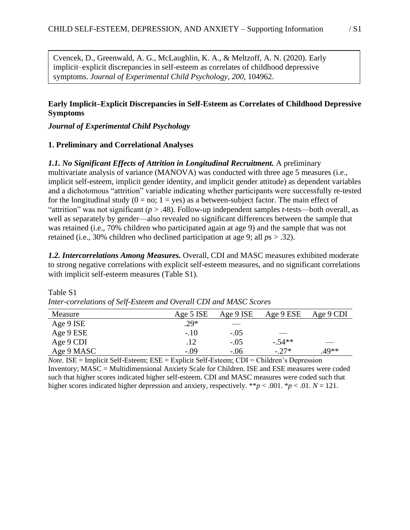symptoms. *Journal of Experimental Child Psychology*, 200, 104962. Cvencek, D., Greenwald, A. G., McLaughlin, K. A., & Meltzoff, A. N. (2020). Early implicit–explicit discrepancies in self-esteem as correlates of childhood depressive

## **Early Implicit–Explicit Discrepancies in Self-Esteem as Correlates of Childhood Depressive Symptoms**

# *Journal of Experimental Child Psychology*

#### **1. Preliminary and Correlational Analyses**

#### *1.1. No Significant Effects of Attrition in Longitudinal Recruitment.* A preliminary

multivariate analysis of variance (MANOVA) was conducted with three age 5 measures (i.e., implicit self-esteem, implicit gender identity, and implicit gender attitude) as dependent variables and a dichotomous "attrition" variable indicating whether participants were successfully re-tested for the longitudinal study  $(0 = no; 1 = yes)$  as a between-subject factor. The main effect of "attrition" was not significant (*p* > .48). Follow-up independent samples *t*-tests—both overall, as well as separately by gender—also revealed no significant differences between the sample that was retained (i.e., 70% children who participated again at age 9) and the sample that was not retained (i.e., 30% children who declined participation at age 9; all *p*s > .32).

*1.2. Intercorrelations Among Measures.* Overall, CDI and MASC measures exhibited moderate to strong negative correlations with explicit self-esteem measures, and no significant correlations with implicit self-esteem measures (Table S1).

| Measure    | Age 5 ISE | Age 9 ISE | Age 9 ESE | Age 9 CDI |
|------------|-----------|-----------|-----------|-----------|
| Age 9 ISE  | $.29*$    |           |           |           |
| Age 9 ESE  | $-.10$    | $-.05$    |           |           |
| Age 9 CDI  | .12       | $-.05$    | $-.54**$  | $\sim$    |
| Age 9 MASC | $-.09$    | $-.06$    | $-.27*$   | $.49**$   |

Table S1 *Inter-correlations of Self-Esteem and Overall CDI and MASC Scores*

*Note.* ISE = Implicit Self-Esteem; ESE = Explicit Self-Esteem; CDI = Children's Depression Inventory; MASC = Multidimensional Anxiety Scale for Children. ISE and ESE measures were coded such that higher scores indicated higher self-esteem. CDI and MASC measures were coded such that higher scores indicated higher depression and anxiety, respectively. \*\**p* < .001. \**p* < .01. *N* = 121.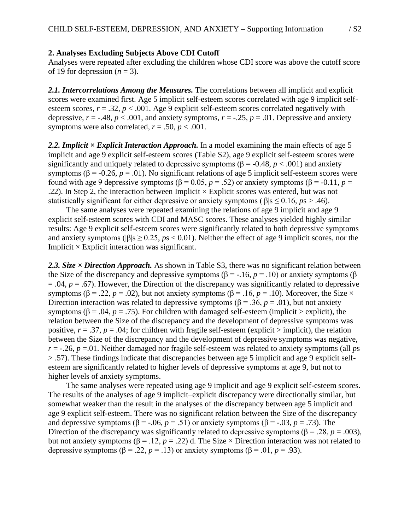## **2. Analyses Excluding Subjects Above CDI Cutoff**

Analyses were repeated after excluding the children whose CDI score was above the cutoff score of 19 for depression  $(n = 3)$ .

*2.1. Intercorrelations Among the Measures.* The correlations between all implicit and explicit scores were examined first. Age 5 implicit self-esteem scores correlated with age 9 implicit selfesteem scores,  $r = .32$ ,  $p < .001$ . Age 9 explicit self-esteem scores correlated negatively with depressive,  $r = -.48$ ,  $p < .001$ , and anxiety symptoms,  $r = -.25$ ,  $p = .01$ . Depressive and anxiety symptoms were also correlated,  $r = .50$ ,  $p < .001$ .

2.2. Implicit × Explicit Interaction Approach. In a model examining the main effects of age 5 implicit and age 9 explicit self-esteem scores (Table S2), age 9 explicit self-esteem scores were significantly and uniquely related to depressive symptoms ( $\beta$  = -0.48, *p* < .001) and anxiety symptoms ( $\beta$  = -0.26, *p* = .01). No significant relations of age 5 implicit self-esteem scores were found with age 9 depressive symptoms ( $β = 0.05$ ,  $p = .52$ ) or anxiety symptoms ( $β = -0.11$ ,  $p =$ .22). In Step 2, the interaction between Implicit  $\times$  Explicit scores was entered, but was not statistically significant for either depressive or anxiety symptoms (|β|s ≤ 0.16, *p*s > .46).

The same analyses were repeated examining the relations of age 9 implicit and age 9 explicit self-esteem scores with CDI and MASC scores. These analyses yielded highly similar results: Age 9 explicit self-esteem scores were significantly related to both depressive symptoms and anxiety symptoms (|β|s ≥ 0.25, *p*s < 0.01). Neither the effect of age 9 implicit scores, nor the Implicit  $\times$  Explicit interaction was significant.

*2.3. Size × Direction Approach.* As shown in Table S3, there was no significant relation between the Size of the discrepancy and depressive symptoms ( $\beta$  = -.16, *p* = .10) or anxiety symptoms ( $\beta$  $= .04$ ,  $p = .67$ ). However, the Direction of the discrepancy was significantly related to depressive symptoms ( $\beta$  = .22, *p* = .02), but not anxiety symptoms ( $\beta$  = .16, *p* = .10). Moreover, the Size  $\times$ Direction interaction was related to depressive symptoms ( $\beta$  = .36, *p* = .01), but not anxiety symptoms ( $\beta$  = .04, *p* = .75). For children with damaged self-esteem (implicit > explicit), the relation between the Size of the discrepancy and the development of depressive symptoms was positive,  $r = .37$ ,  $p = .04$ ; for children with fragile self-esteem (explicit > implicit), the relation between the Size of the discrepancy and the development of depressive symptoms was negative, *r* = -.26, *p* =.01. Neither damaged nor fragile self-esteem was related to anxiety symptoms (all *p*s > .57). These findings indicate that discrepancies between age 5 implicit and age 9 explicit selfesteem are significantly related to higher levels of depressive symptoms at age 9, but not to higher levels of anxiety symptoms.

The same analyses were repeated using age 9 implicit and age 9 explicit self-esteem scores. The results of the analyses of age 9 implicit—explicit discrepancy were directionally similar, but somewhat weaker than the result in the analyses of the discrepancy between age 5 implicit and age 9 explicit self-esteem. There was no significant relation between the Size of the discrepancy and depressive symptoms ( $\beta$  = -.06, *p* = .51) or anxiety symptoms ( $\beta$  = -.03, *p* = .73). The Direction of the discrepancy was significantly related to depressive symptoms ( $\beta$  = .28, *p* = .003), but not anxiety symptoms ( $\beta$  = .12, *p* = .22) d. The Size × Direction interaction was not related to depressive symptoms ( $\beta$  = .22, *p* = .13) or anxiety symptoms ( $\beta$  = .01, *p* = .93).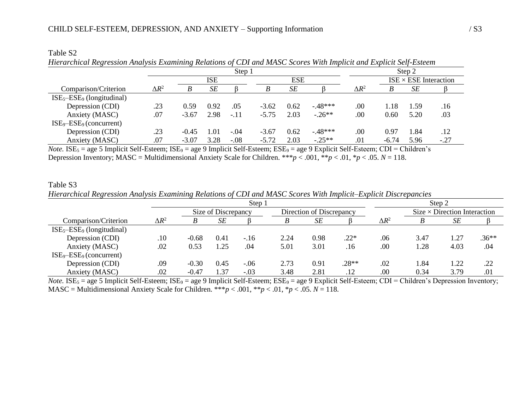|                            |              |                          |      | Step 1 |         |      |          | Step 2       |         |                              |        |  |  |
|----------------------------|--------------|--------------------------|------|--------|---------|------|----------|--------------|---------|------------------------------|--------|--|--|
|                            |              | <b>ESE</b><br><b>ISE</b> |      |        |         |      |          |              |         | $ISE \times ESE$ Interaction |        |  |  |
| Comparison/Criterion       | $\Delta R^2$ |                          | SE   |        |         | SE   |          | $\Delta R^2$ | B       | SE                           |        |  |  |
| $ISE5-ESE9$ (longitudinal) |              |                          |      |        |         |      |          |              |         |                              |        |  |  |
| Depression (CDI)           | .23          | 0.59                     | 0.92 | .05    | $-3.62$ | 0.62 | $-48***$ | .00          | 1.18    | 1.59                         | .16    |  |  |
| Anxiety (MASC)             | .07          | $-3.67$                  | 2.98 | $-.11$ | $-5.75$ | 2.03 | $-.26**$ | .00          | 0.60    | 5.20                         | .03    |  |  |
| $ISE9-ESE9$ (concurrent)   |              |                          |      |        |         |      |          |              |         |                              |        |  |  |
| Depression (CDI)           | .23          | $-0.45$                  | 1.01 | $-.04$ | $-3.67$ | 0.62 | $-48***$ | .00          | 0.97    | 1.84                         | .12    |  |  |
| Anxiety (MASC)             | .07          | $-3.07$                  | 3.28 | $-.08$ | $-5.72$ | 2.03 | $-.25**$ | .01          | $-6.74$ | 5.96                         | $-.27$ |  |  |

| Table S2                                                                                                           |  |  |  |
|--------------------------------------------------------------------------------------------------------------------|--|--|--|
| Hierarchical Regression Analysis Examining Relations of CDI and MASC Scores With Implicit and Explicit Self-Esteem |  |  |  |

*Note.* ISE<sub>5</sub> = age 5 Implicit Self-Esteem; ISE<sub>9</sub> = age 9 Implicit Self-Esteem; ESE<sub>9</sub> = age 9 Explicit Self-Esteem; CDI = Children's Depression Inventory; MASC = Multidimensional Anxiety Scale for Children. \*\*\**p* < .001, \**p* < .01, \**p* < .05. *N* = 118.

# Table S3 *Hierarchical Regression Analysis Examining Relations of CDI and MASC Scores With Implicit–Explicit Discrepancies*

|                              |              |         |                     | Step 1 | Step 2 |                          |         |              |      |                                     |         |
|------------------------------|--------------|---------|---------------------|--------|--------|--------------------------|---------|--------------|------|-------------------------------------|---------|
|                              |              |         | Size of Discrepancy |        |        | Direction of Discrepancy |         |              |      | $Size \times Direction$ Interaction |         |
| Comparison/Criterion         | $\Delta R^2$ | В       | SE                  |        | B      | SЕ                       |         | $\Delta R^2$ |      | SЕ                                  |         |
| $ISE5-ESE9$ (longitudinal)   |              |         |                     |        |        |                          |         |              |      |                                     |         |
| Depression (CDI)             | .10          | $-0.68$ | 0.41                | $-.16$ | 2.24   | 0.98                     | $.22*$  | .06          | 3.47 | 1.27                                | $.36**$ |
| Anxiety (MASC)               | .02          | 0.53    | 1.25                | .04    | 5.01   | 3.01                     | .16     | .00          | 1.28 | 4.03                                | .04     |
| $ISE_9 - ESE_9$ (concurrent) |              |         |                     |        |        |                          |         |              |      |                                     |         |
| Depression (CDI)             | .09          | $-0.30$ | 0.45                | $-.06$ | 2.73   | 0.91                     | $.28**$ | .02          | 1.84 | 1.22                                | .22     |
| Anxiety (MASC)               | .02          | $-0.47$ | 1.37                | $-.03$ | 3.48   | 2.81                     | .12     | .00          | 0.34 | 3.79                                | .01     |

*Note.* ISE<sub>5</sub> = age 5 Implicit Self-Esteem; ISE<sub>9</sub> = age 9 Implicit Self-Esteem; ESE<sub>9</sub> = age 9 Explicit Self-Esteem; CDI = Children's Depression Inventory; MASC = Multidimensional Anxiety Scale for Children.  $***p < .001$ ,  $**p < .01$ ,  $*p < .05$ .  $N = 118$ .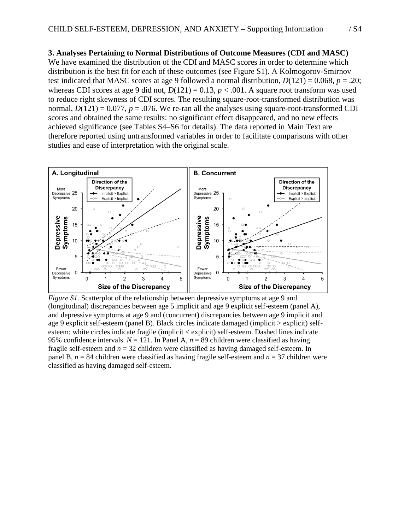## **3. Analyses Pertaining to Normal Distributions of Outcome Measures (CDI and MASC)**

We have examined the distribution of the CDI and MASC scores in order to determine which distribution is the best fit for each of these outcomes (see Figure S1). A Kolmogorov-Smirnov test indicated that MASC scores at age 9 followed a normal distribution,  $D(121) = 0.068$ ,  $p = .20$ ; whereas CDI scores at age 9 did not,  $D(121) = 0.13$ ,  $p < .001$ . A square root transform was used to reduce right skewness of CDI scores. The resulting square-root-transformed distribution was normal,  $D(121) = 0.077$ ,  $p = .076$ . We re-ran all the analyses using square-root-transformed CDI scores and obtained the same results: no significant effect disappeared, and no new effects achieved significance (see Tables S4–S6 for details). The data reported in Main Text are therefore reported using untransformed variables in order to facilitate comparisons with other studies and ease of interpretation with the original scale.



*Figure S1*. Scatterplot of the relationship between depressive symptoms at age 9 and (longitudinal) discrepancies between age 5 implicit and age 9 explicit self-esteem (panel A), and depressive symptoms at age 9 and (concurrent) discrepancies between age 9 implicit and age 9 explicit self-esteem (panel B). Black circles indicate damaged (implicit > explicit) selfesteem; white circles indicate fragile (implicit < explicit) self-esteem. Dashed lines indicate 95% confidence intervals.  $N = 121$ . In Panel A,  $n = 89$  children were classified as having fragile self-esteem and *n* = 32 children were classified as having damaged self-esteem. In panel B,  $n = 84$  children were classified as having fragile self-esteem and  $n = 37$  children were classified as having damaged self-esteem.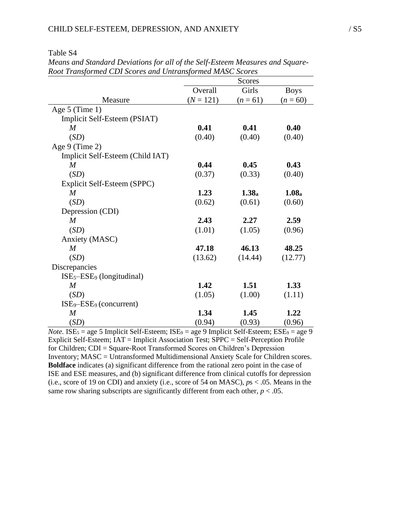Table S4

|                                  |             | Scores            |                   |
|----------------------------------|-------------|-------------------|-------------------|
|                                  | Overall     | Girls             | <b>Boys</b>       |
| Measure                          | $(N = 121)$ | $(n = 61)$        | $(n = 60)$        |
| Age $5$ (Time 1)                 |             |                   |                   |
| Implicit Self-Esteem (PSIAT)     |             |                   |                   |
| $\boldsymbol{M}$                 | 0.41        | 0.41              | 0.40              |
| (SD)                             | (0.40)      | (0.40)            | (0.40)            |
| Age 9 (Time 2)                   |             |                   |                   |
| Implicit Self-Esteem (Child IAT) |             |                   |                   |
| M                                | 0.44        | 0.45              | 0.43              |
| (SD)                             | (0.37)      | (0.33)            | (0.40)            |
| Explicit Self-Esteem (SPPC)      |             |                   |                   |
| M                                | 1.23        | 1.38 <sub>a</sub> | 1.08 <sub>a</sub> |
| (SD)                             | (0.62)      | (0.61)            | (0.60)            |
| Depression (CDI)                 |             |                   |                   |
| $\boldsymbol{M}$                 | 2.43        | 2.27              | 2.59              |
| (SD)                             | (1.01)      | (1.05)            | (0.96)            |
| Anxiety (MASC)                   |             |                   |                   |
| $\boldsymbol{M}$                 | 47.18       | 46.13             | 48.25             |
| (SD)                             | (13.62)     | (14.44)           | (12.77)           |
| Discrepancies                    |             |                   |                   |
| $ISE5-ESE9$ (longitudinal)       |             |                   |                   |
| $\boldsymbol{M}$                 | 1.42        | 1.51              | 1.33              |
| (SD)                             | (1.05)      | (1.00)            | (1.11)            |
| $ISE9–ESE9$ (concurrent)         |             |                   |                   |
| $\boldsymbol{M}$                 | 1.34        | 1.45              | 1.22              |
| (SD)                             | (0.94)      | (0.93)            | (0.96)            |

*Means and Standard Deviations for all of the Self-Esteem Measures and Square-Root Transformed CDI Scores and Untransformed MASC Scores*

*Note.* ISE<sub>5</sub> = age 5 Implicit Self-Esteem; ISE<sub>9</sub> = age 9 Implicit Self-Esteem; ESE<sub>9</sub> = age 9 Explicit Self-Esteem; IAT = Implicit Association Test; SPPC = Self-Perception Profile for Children; CDI = Square-Root Transformed Scores on Children's Depression Inventory; MASC = Untransformed Multidimensional Anxiety Scale for Children scores. **Boldface** indicates (a) significant difference from the rational zero point in the case of ISE and ESE measures, and (b) significant difference from clinical cutoffs for depression (i.e., score of 19 on CDI) and anxiety (i.e., score of 54 on MASC), *p*s < .05. Means in the same row sharing subscripts are significantly different from each other,  $p < .05$ .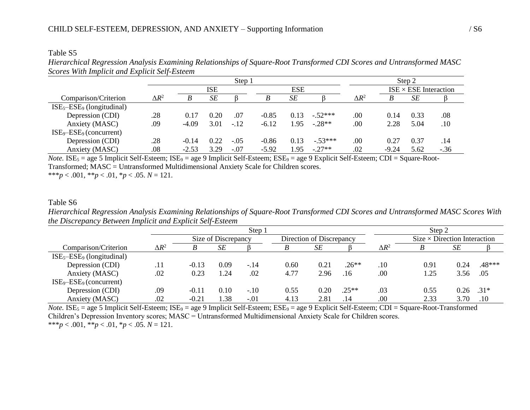#### Table S5

*Hierarchical Regression Analysis Examining Relationships of Square-Root Transformed CDI Scores and Untransformed MASC Scores With Implicit and Explicit Self-Esteem*

|                              |              |         |      | Step 1 |         |            |           | Step 2       |         |                              |        |  |  |
|------------------------------|--------------|---------|------|--------|---------|------------|-----------|--------------|---------|------------------------------|--------|--|--|
|                              |              |         | ISE  |        |         | <b>ESE</b> |           |              |         | $ISE \times ESE$ Interaction |        |  |  |
| Comparison/Criterion         | $\Delta R^2$ |         | SE   |        |         | SE         |           | $\Delta R^2$ |         | SЕ                           |        |  |  |
| $ISE5-ESE9$ (longitudinal)   |              |         |      |        |         |            |           |              |         |                              |        |  |  |
| Depression (CDI)             | .28          | 0.17    | 0.20 | .07    | $-0.85$ | 0.13       | $-52***$  | .00.         | 0.14    | 0.33                         | .08    |  |  |
| Anxiety (MASC)               | .09          | $-4.09$ | 3.01 | $-.12$ | $-6.12$ | 1.95       | $-.28**$  | .00          | 2.28    | 5.04                         | .10    |  |  |
| $ISE_9 - ESE_9$ (concurrent) |              |         |      |        |         |            |           |              |         |                              |        |  |  |
| Depression (CDI)             | .28          | $-0.14$ | 0.22 | $-.05$ | $-0.86$ | 0.13       | $-.53***$ | .00.         | 0.27    | 0.37                         | .14    |  |  |
| Anxiety (MASC)               | .08          | $-2.53$ | 3.29 | $-.07$ | $-5.92$ | 1.95       | $-.27**$  | .02          | $-9.24$ | 5.62                         | $-.36$ |  |  |

*Note.* ISE<sub>5</sub> = age 5 Implicit Self-Esteem; ISE<sub>9</sub> = age 9 Implicit Self-Esteem; ESE<sub>9</sub> = age 9 Explicit Self-Esteem; CDI = Square-Root-Transformed; MASC = Untransformed Multidimensional Anxiety Scale for Children scores. \*\*\**p* < .001, \*\**p* < .01, \**p* < .05. *N* = 121.

### Table S6

*Hierarchical Regression Analysis Examining Relationships of Square-Root Transformed CDI Scores and Untransformed MASC Scores With the Discrepancy Between Implicit and Explicit Self-Esteem*

|                              |              |         |                     | Step 1 | Step 2 |                          |         |              |                                     |      |          |
|------------------------------|--------------|---------|---------------------|--------|--------|--------------------------|---------|--------------|-------------------------------------|------|----------|
|                              |              |         | Size of Discrepancy |        |        | Direction of Discrepancy |         |              | $Size \times Direction$ Interaction |      |          |
| Comparison/Criterion         | $\Delta R^2$ |         | SE                  |        | B      | SE                       |         | $\Delta R^2$ |                                     | SЕ   |          |
| $ISE5-ESE9$ (longitudinal)   |              |         |                     |        |        |                          |         |              |                                     |      |          |
| Depression (CDI)             | .11          | $-0.13$ | 0.09                | $-.14$ | 0.60   | 0.21                     | $.26**$ | .10          | 0.91                                | 0.24 | $.48***$ |
| Anxiety (MASC)               | .02          | 0.23    | .24                 | .02    | 4.77   | 2.96                     | .16     | .00          | 1.25                                | 3.56 | .05      |
| $ISE_9 - ESE_9$ (concurrent) |              |         |                     |        |        |                          |         |              |                                     |      |          |
| Depression (CDI)             | .09          | $-0.11$ | 0.10                | $-.10$ | 0.55   | 0.20                     | $.25**$ | .03          | 0.55                                | 0.26 | $.31*$   |
| Anxiety (MASC)               | .02          | $-0.21$ | .38                 | $-.01$ | 4.13   | 2.81                     | .14     | .00          | 2.33                                | 3.70 | .10      |

 $Note. ISE<sub>5</sub> = age 5 Implicit Self-Esteem; ISE<sub>9</sub> = age 9 Implicit Self-Esteem; ESE<sub>9</sub> = age 9 Explicit Self-Esteem; CDI = Square-Root-Transformed$ Children's Depression Inventory scores; MASC = Untransformed Multidimensional Anxiety Scale for Children scores. \*\*\**p* < .001, \*\**p* < .01, \**p* < .05, *N* = 121.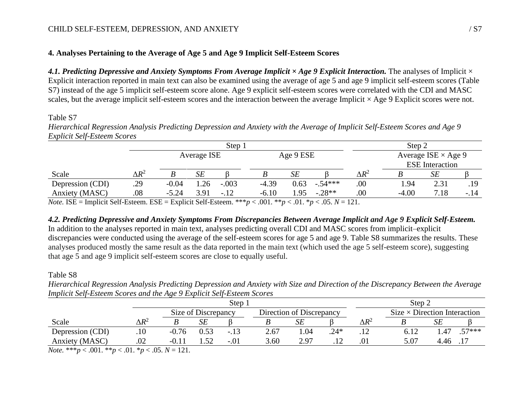# **4. Analyses Pertaining to the Average of Age 5 and Age 9 Implicit Self-Esteem Scores**

*4.1. Predicting Depressive and Anxiety Symptoms From Average Implicit × Age 9 Explicit Interaction.* The analyses of Implicit × Explicit interaction reported in main text can also be examined using the average of age 5 and age 9 implicit self-esteem scores (Table S7) instead of the age 5 implicit self-esteem score alone. Age 9 explicit self-esteem scores were correlated with the CDI and MASC scales, but the average implicit self-esteem scores and the interaction between the average Implicit  $\times$  Age 9 Explicit scores were not.

#### Table S7

*Hierarchical Regression Analysis Predicting Depression and Anxiety with the Average of Implicit Self-Esteem Scores and Age 9 Explicit Self-Esteem Scores*

| Average ISE $\times$ Age 9 |  |  |  |  |
|----------------------------|--|--|--|--|
| <b>ESE</b> Interaction     |  |  |  |  |
| <b>SE</b>                  |  |  |  |  |
| 2.31<br>.19                |  |  |  |  |
| 7.18<br>$-.14$             |  |  |  |  |
|                            |  |  |  |  |

*Note.* ISE = Implicit Self-Esteem. ESE = Explicit Self-Esteem. \*\*\**p* < .001. \**p* < .01. \**p* < .05.  $N = 121$ .

### *4.2. Predicting Depressive and Anxiety Symptoms From Discrepancies Between Average Implicit and Age 9 Explicit Self-Esteem.*

In addition to the analyses reported in main text, analyses predicting overall CDI and MASC scores from implicit-explicit discrepancies were conducted using the average of the self-esteem scores for age 5 and age 9. Table S8 summarizes the results. These analyses produced mostly the same result as the data reported in the main text (which used the age 5 self-esteem score), suggesting that age 5 and age 9 implicit self-esteem scores are close to equally useful.

#### Table S8

*Hierarchical Regression Analysis Predicting Depression and Anxiety with Size and Direction of the Discrepancy Between the Average Implicit Self-Esteem Scores and the Age 9 Explicit Self-Esteem Scores*

|              |         |           | Step   | Step:                    |      |        |              |      |      |                                     |
|--------------|---------|-----------|--------|--------------------------|------|--------|--------------|------|------|-------------------------------------|
|              |         |           |        | Direction of Discrepancy |      |        |              |      |      |                                     |
| $\Delta R^2$ |         | SE        |        |                          | SЕ   |        | $\Delta R^2$ |      |      |                                     |
| .10          | $-0.76$ |           | $-.13$ | 2.67                     | .04  | $.24*$ | .            | 6.12 | .47  | $57***$                             |
| .02          | $-0.11$ | 50        | $-.01$ | 3.60                     | 2.97 |        | .01          | 5.07 | 4.46 |                                     |
|              | ____    | _ _ _ _ _ |        | Size of Discrepancy      |      |        |              |      |      | $Size \times Direction$ Interaction |

*Note.* \*\*\**p* < .001. \*\**p* < .01. \**p* < .05. *N* = 121.